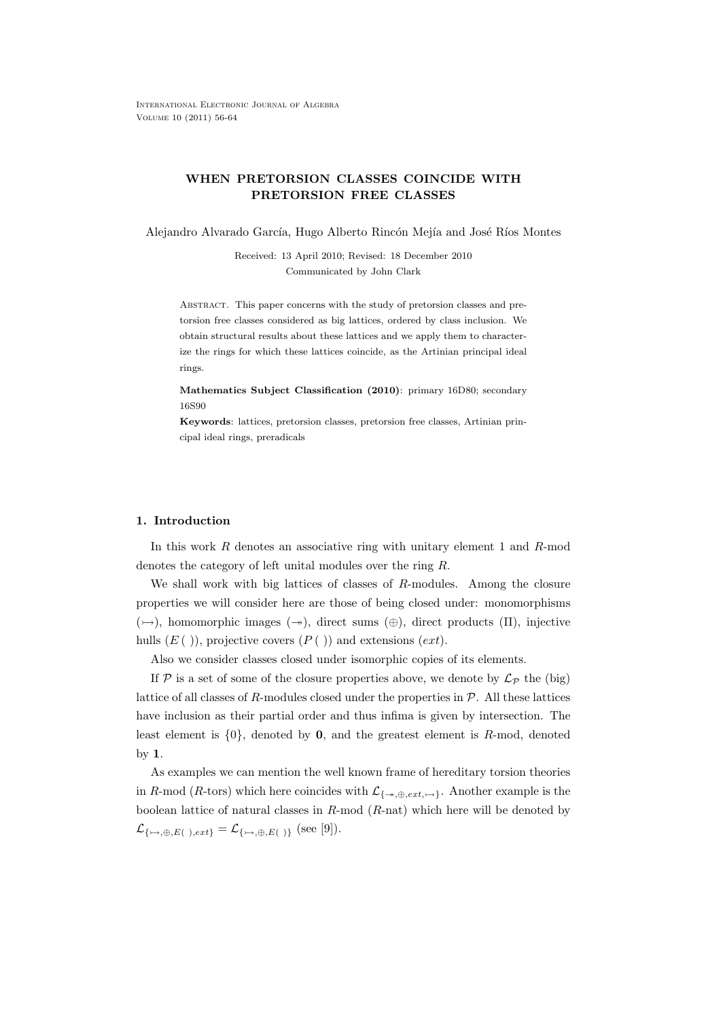# **WHEN PRETORSION CLASSES COINCIDE WITH PRETORSION FREE CLASSES**

Alejandro Alvarado García, Hugo Alberto Rincón Mejía and José Ríos Montes

Received: 13 April 2010; Revised: 18 December 2010 Communicated by John Clark

Abstract. This paper concerns with the study of pretorsion classes and pretorsion free classes considered as big lattices, ordered by class inclusion. We obtain structural results about these lattices and we apply them to characterize the rings for which these lattices coincide, as the Artinian principal ideal rings.

**Mathematics Subject Classification (2010)**: primary 16D80; secondary 16S90

**Keywords**: lattices, pretorsion classes, pretorsion free classes, Artinian principal ideal rings, preradicals

## **1. Introduction**

In this work *R* denotes an associative ring with unitary element 1 and *R*-mod denotes the category of left unital modules over the ring *R*.

We shall work with big lattices of classes of *R*-modules. Among the closure properties we will consider here are those of being closed under: monomorphisms (→), homomorphic images (→), direct sums (⊕), direct products (Π), injective hulls (*E* ( )), projective covers (*P* ( )) and extensions (*ext*).

Also we consider classes closed under isomorphic copies of its elements.

If  $P$  is a set of some of the closure properties above, we denote by  $\mathcal{L}_P$  the (big) lattice of all classes of *R*-modules closed under the properties in *P*. All these lattices have inclusion as their partial order and thus infima is given by intersection. The least element is *{*0*}*, denoted by **0**, and the greatest element is *R*-mod, denoted by **1**.

As examples we can mention the well known frame of hereditary torsion theories in *R*-mod (*R*-tors) which here coincides with  $\mathcal{L}_{\{\rightarrow,\oplus,ext,\rightarrow\}}$ . Another example is the boolean lattice of natural classes in *R*-mod (*R*-nat) which here will be denoted by  $\mathcal{L}_{\{\rightarrowtail,\oplus,E(\ )\neq ext\}} = \mathcal{L}_{\{\rightarrowtail,\oplus,E(\ )\}}$  (see [9]).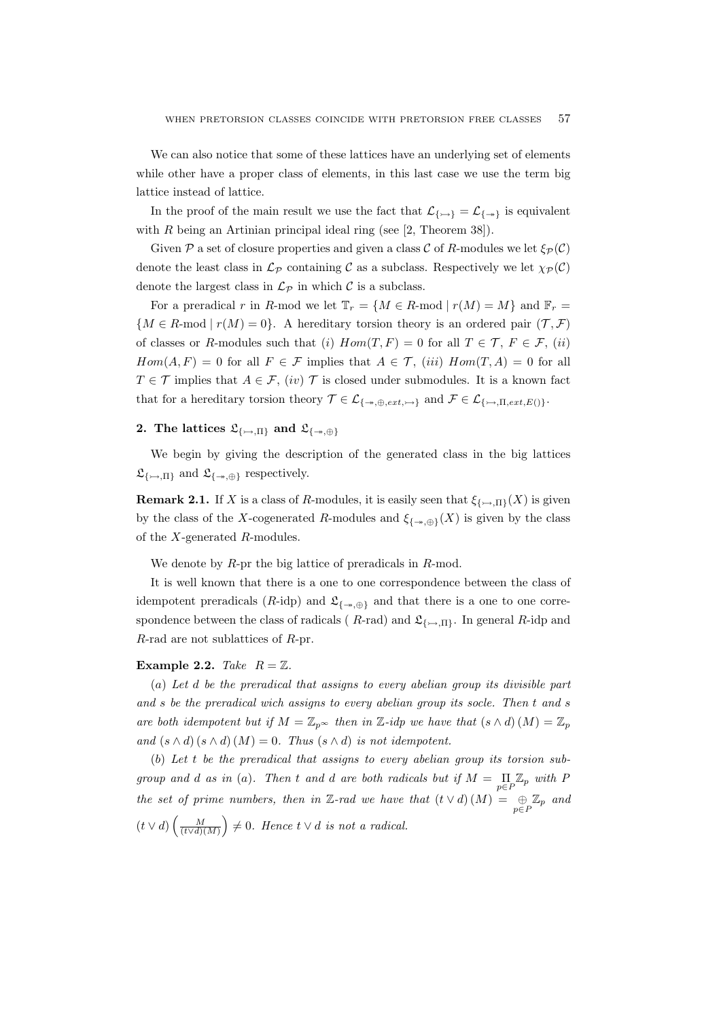We can also notice that some of these lattices have an underlying set of elements while other have a proper class of elements, in this last case we use the term big lattice instead of lattice.

In the proof of the main result we use the fact that  $\mathcal{L}_{\{\rightarrow\}} = \mathcal{L}_{\{\rightarrow\}}$  is equivalent with  $R$  being an Artinian principal ideal ring (see  $[2,$  Theorem 38]).

Given  $P$  a set of closure properties and given a class  $C$  of *R*-modules we let  $\xi_P(C)$ denote the least class in  $\mathcal{L}_P$  containing  $\mathcal C$  as a subclass. Respectively we let  $\chi_P(\mathcal C)$ denote the largest class in  $\mathcal{L}_{\mathcal{P}}$  in which  $\mathcal{C}$  is a subclass.

For a preradical *r* in *R*-mod we let  $\mathbb{T}_r = \{M \in R\text{-mod} \mid r(M) = M\}$  and  $\mathbb{F}_r =$  ${M \in R \text{-mod } | r(M) = 0}$ . A hereditary torsion theory is an ordered pair  $(T, \mathcal{F})$ of classes or *R*-modules such that (*i*)  $Hom(T, F) = 0$  for all  $T \in \mathcal{T}$ ,  $F \in \mathcal{F}$ , (*ii*) *Hom*(*A, F*) = 0 for all  $F \in \mathcal{F}$  implies that  $A \in \mathcal{T}$ , (*iii*)  $Hom(T, A) = 0$  for all *T*  $\in \mathcal{T}$  implies that *A*  $\in \mathcal{F}$ , (*iv*)  $\mathcal{T}$  is closed under submodules. It is a known fact that for a hereditary torsion theory  $\mathcal{T} \in \mathcal{L}_{\{\rightarrow,\oplus,ext,\rightarrow\}}$  and  $\mathcal{F} \in \mathcal{L}_{\{\rightarrow,\Pi,ext,E()\}}$ .

## **2.** The lattices  $\mathfrak{L}_{\{\rightarrow,\Pi\}}$  and  $\mathfrak{L}_{\{\rightarrow,\oplus\}}$

We begin by giving the description of the generated class in the big lattices  $\mathfrak{L}_{\{\rightarrow,\Pi\}}$  and  $\mathfrak{L}_{\{\rightarrow,\oplus\}}$  respectively.

**Remark 2.1.** If *X* is a class of *R*-modules, it is easily seen that  $\xi_{\{\rightarrow\Pi\}}(X)$  is given by the class of the *X*-cogenerated *R*-modules and  $\xi_{\{\nrightarrow,\oplus\}}(X)$  is given by the class of the *X*-generated *R*-modules.

We denote by *R*-pr the big lattice of preradicals in *R*-mod.

It is well known that there is a one to one correspondence between the class of idempotent preradicals ( $R$ -idp) and  $\mathfrak{L}_{\{\rightarrow,\oplus\}}$  and that there is a one to one correspondence between the class of radicals ( $R$ -rad) and  $\mathfrak{L}_{\{\rightarrow,\Pi\}}$ . In general  $R$ -idp and *R*-rad are not sublattices of *R*-pr.

## **Example 2.2.** *Take*  $R = \mathbb{Z}$ *.*

(*a*) *Let d be the preradical that assigns to every abelian group its divisible part and s be the preradical wich assigns to every abelian group its socle. Then t and s are both idempotent but if*  $M = \mathbb{Z}_{p^{\infty}}$  *then in*  $\mathbb{Z}$ *-idp we have that*  $(s \wedge d)(M) = \mathbb{Z}_{p^{\infty}}$ *and*  $(s \wedge d)(s \wedge d)(M) = 0$ *. Thus*  $(s \wedge d)$  *is not idempotent.* 

(*b*) *Let t be the preradical that assigns to every abelian group its torsion subgroup and d as in* (*a*)*.* Then *t and d are both radicals but if*  $M = \prod_{n} \mathbb{Z}_p$  *with P p∈P the set of prime numbers, then in*  $\mathbb{Z}$ *-rad we have that*  $(t \vee d)(M) = \bigoplus_{p \in P} \mathbb{Z}_p$  *and*  $(t \vee d) \left( \frac{M}{(t \vee d)(M)} \right) \neq 0$ . Hence  $t \vee d$  is not a radical.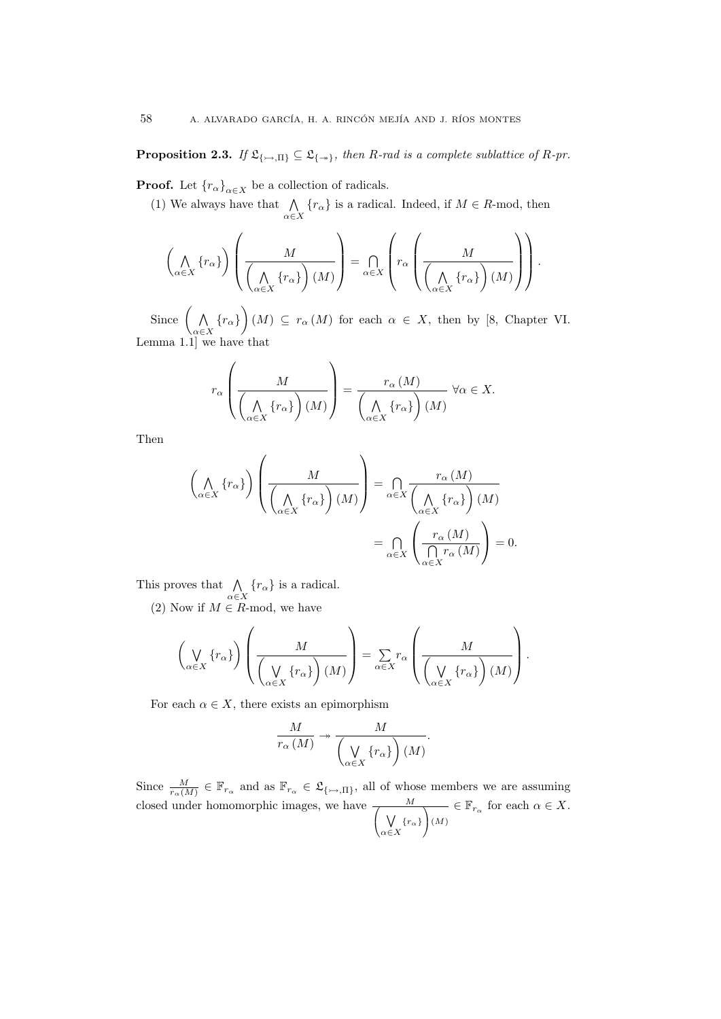**Proposition 2.3.** *If*  $\mathfrak{L}_{\{\rightarrow, \Pi\}} \subseteq \mathfrak{L}_{\{\rightarrow\}}$ , then *R*-rad is a complete sublattice of *R*-pr.

**Proof.** Let  ${r_{\alpha}}_{\alpha \in X}$  be a collection of radicals.

(1) We always have that  $\bigwedge$  $\bigwedge_{\alpha \in X} \{r_{\alpha}\}\$ is a radical. Indeed, if  $M \in R$ -mod, then

$$
\left(\bigwedge_{\alpha\in X}\left\{r_{\alpha}\right\}\right)\left(\frac{M}{\left(\bigwedge_{\alpha\in X}\left\{r_{\alpha}\right\}\right)(M)}\right)=\bigcap_{\alpha\in X}\left(r_{\alpha}\left(\frac{M}{\left(\bigwedge_{\alpha\in X}\left\{r_{\alpha}\right\}\right)(M)}\right)\right).
$$

Since ( ∧  $\left(\bigwedge_{\alpha \in X} \{r_{\alpha}\}\right)$  (*M*)  $\subseteq$  *r*<sub>*α*</sub> (*M*) for each  $\alpha \in X$ , then by [8, Chapter VI. Lemma 1.1] we have that

$$
r_{\alpha}\left(\frac{M}{\left(\bigwedge_{\alpha\in X}\left\{r_{\alpha}\right\}\right)(M)}\right)=\frac{r_{\alpha}\left(M\right)}{\left(\bigwedge_{\alpha\in X}\left\{r_{\alpha}\right\}\right)(M)}\ \forall\alpha\in X.
$$

Then

$$
\left(\bigwedge_{\alpha \in X} \{r_{\alpha}\}\right) \left(\frac{M}{\left(\bigwedge_{\alpha \in X} \{r_{\alpha}\}\right)(M)}\right) = \bigcap_{\alpha \in X} \frac{r_{\alpha}(M)}{\left(\bigwedge_{\alpha \in X} \{r_{\alpha}\}\right)(M)} = \bigcap_{\alpha \in X} \left(\frac{r_{\alpha}(M)}{\bigcap_{\alpha \in X} r_{\alpha}(M)}\right) = 0.
$$

This proves that ∧  $\bigwedge_{\alpha \in X} \{r_{\alpha}\}\$ is a radical.

(2) Now if  $M \in \mathbb{R}$ -mod, we have

 $\overline{ }$ 

$$
\left(\bigvee_{\alpha \in X} \{r_{\alpha}\}\right)\left(\frac{M}{\left(\bigvee_{\alpha \in X} \{r_{\alpha}\}\right)(M)}\right) = \sum_{\alpha \in X} r_{\alpha}\left(\frac{M}{\left(\bigvee_{\alpha \in X} \{r_{\alpha}\}\right)(M)}\right).
$$

For each  $\alpha \in X$ , there exists an epimorphism

$$
\frac{M}{r_{\alpha}(M)} \twoheadrightarrow \frac{M}{\left(\bigvee_{\alpha \in X} \{r_{\alpha}\}\right)(M)}.
$$

Since  $\frac{M}{r_{\alpha}(M)} \in \mathbb{F}_{r_{\alpha}}$  and as  $\mathbb{F}_{r_{\alpha}} \in \mathfrak{L}_{\{\rightarrow,\Pi\}}$ , all of whose members we are assuming closed under homomorphic images, we have  $\frac{M}{\sqrt{M}}$  ∨ *α∈X {rα}* <sup>1</sup> (*M*) *∈*  $\mathbb{F}_{r_{\alpha}}$  for each  $\alpha \in X$ .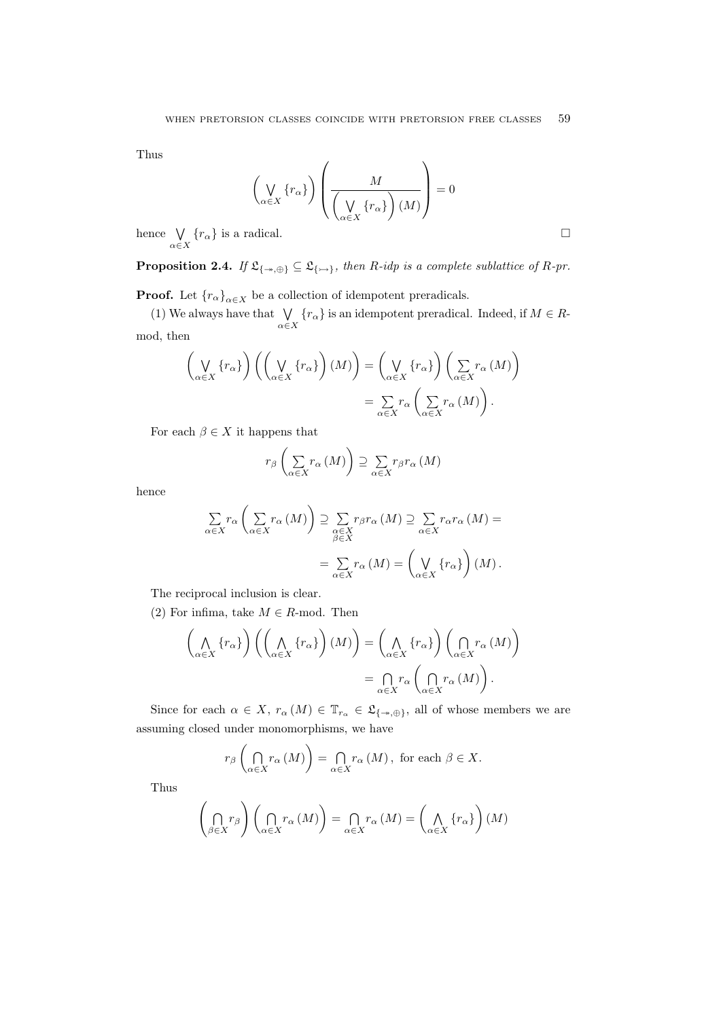Thus

$$
\left(\bigvee_{\alpha\in X}\left\{r_{\alpha}\right\}\right)\left(\frac{M}{\left(\bigvee_{\alpha\in X}\left\{r_{\alpha}\right\}\right)(M)}\right)=0
$$

hence ∨  $\bigcup_{\alpha \in X} \{r_{\alpha}\}\$ is a radical.

**Proposition 2.4.** *If*  $\mathfrak{L}_{\{\rightarrow,\oplus\}} \subseteq \mathfrak{L}_{\{\rightarrow\}}$ , then *R-idp is a complete sublattice of R-pr.* 

**Proof.** Let  ${r_{\alpha}}_{\alpha \in X}$  be a collection of idempotent preradicals.

(1) We always have that  $\forall$  $\bigvee_{\alpha \in X} \{r_{\alpha}\}\$  is an idempotent preradical. Indeed, if  $M \in R$ mod, then

$$
\left(\bigvee_{\alpha \in X} \{r_{\alpha}\}\right) \left(\left(\bigvee_{\alpha \in X} \{r_{\alpha}\}\right) (M)\right) = \left(\bigvee_{\alpha \in X} \{r_{\alpha}\}\right) \left(\sum_{\alpha \in X} r_{\alpha} (M)\right)
$$

$$
= \sum_{\alpha \in X} r_{\alpha} \left(\sum_{\alpha \in X} r_{\alpha} (M)\right).
$$

For each  $\beta \in X$  it happens that

$$
r_{\beta}\left(\sum_{\alpha\in X}r_{\alpha}\left(M\right)\right)\supseteq\sum_{\alpha\in X}r_{\beta}r_{\alpha}\left(M\right)
$$

hence

$$
\sum_{\alpha \in X} r_{\alpha} \left( \sum_{\alpha \in X} r_{\alpha} (M) \right) \supseteq \sum_{\substack{\alpha \in X \\ \beta \in X}} r_{\beta} r_{\alpha} (M) \supseteq \sum_{\alpha \in X} r_{\alpha} r_{\alpha} (M) =
$$

$$
= \sum_{\alpha \in X} r_{\alpha} (M) = \left( \bigvee_{\alpha \in X} \{ r_{\alpha} \} \right) (M).
$$

The reciprocal inclusion is clear.

(2) For infima, take  $M \in R$ -mod. Then

$$
\left(\bigwedge_{\alpha \in X} \{r_{\alpha}\}\right) \left(\left(\bigwedge_{\alpha \in X} \{r_{\alpha}\}\right) (M)\right) = \left(\bigwedge_{\alpha \in X} \{r_{\alpha}\}\right) \left(\bigcap_{\alpha \in X} r_{\alpha} (M)\right)
$$

$$
= \bigcap_{\alpha \in X} r_{\alpha} \left(\bigcap_{\alpha \in X} r_{\alpha} (M)\right).
$$

Since for each  $\alpha \in X$ ,  $r_{\alpha}(M) \in \mathbb{T}_{r_{\alpha}} \in \mathfrak{L}_{\{-\alpha,\oplus\}}$ , all of whose members we are assuming closed under monomorphisms, we have

$$
r_{\beta}\left(\bigcap_{\alpha\in X}r_{\alpha}\left(M\right)\right)=\bigcap_{\alpha\in X}r_{\alpha}\left(M\right),\text{ for each }\beta\in X.
$$

Thus

$$
\left(\bigcap_{\beta\in X}r_{\beta}\right)\left(\bigcap_{\alpha\in X}r_{\alpha}\left(M\right)\right)=\bigcap_{\alpha\in X}r_{\alpha}\left(M\right)=\left(\bigwedge_{\alpha\in X}\left\{r_{\alpha}\right\}\right)\left(M\right)
$$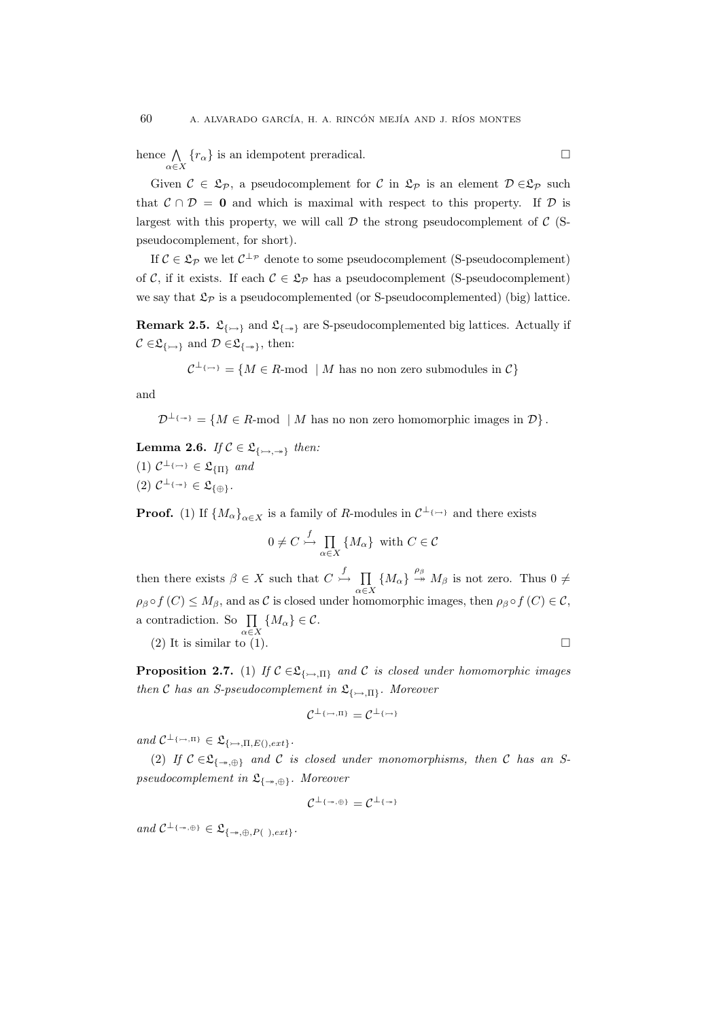hence ∧  $\bigcap_{\alpha \in X} \{r_{\alpha}\}\$ is an idempotent preradical.

Given  $C \in \mathcal{L}_{\mathcal{P}}$ , a pseudocomplement for  $C$  in  $\mathcal{L}_{\mathcal{P}}$  is an element  $\mathcal{D} \in \mathcal{L}_{\mathcal{P}}$  such that  $C \cap D = 0$  and which is maximal with respect to this property. If *D* is largest with this property, we will call  $D$  the strong pseudocomplement of  $C$  (Spseudocomplement, for short).

If  $C \in \mathfrak{L}_{\mathcal{P}}$  we let  $C^{\perp_{\mathcal{P}}}$  denote to some pseudocomplement (S-pseudocomplement) of *C*, if it exists. If each  $C \in \mathcal{L}_{\mathcal{P}}$  has a pseudocomplement (S-pseudocomplement) we say that  $\mathfrak{L}_{\mathcal{P}}$  is a pseudocomplemented (or S-pseudocomplemented) (big) lattice.

**Remark 2.5.**  $\mathfrak{L}_{\{\rightarrow\}}$  and  $\mathfrak{L}_{\{\rightarrow\}}$  are S-pseudocomplemented big lattices. Actually if  $C \in \mathfrak{L}_{\{\rightarrow\}}$  and  $D \in \mathfrak{L}_{\{\rightarrow\}}$ , then:

$$
\mathcal{C}^{\perp_{\{\rightarrow\}}}= \{M \in R\text{-mod } \mid M \text{ has no non zero submodules in } \mathcal{C}\}\
$$

and

 $\mathcal{D}^{\perp_{\{\rightarrow\}}}= \{M \in \mathbb{R} \text{-mod} \mid M \text{ has no non zero homomorphic images in } \mathcal{D}\}.$ 

**Lemma 2.6.** *If*  $C \in \mathfrak{L}_{\{\rightarrow,\rightarrow\}}$  *then:*  $(1)$   $C^{\perp_{\{\rightarrow\}}}\in \mathfrak{L}_{\{\Pi\}}$  and  $(2)$   $C^{\perp_{\{\rightarrow\}}}\in\mathfrak{L}_{\{\oplus\}}$ *.* 

**Proof.** (1) If  $\{M_{\alpha}\}_{\alpha \in X}$  is a family of *R*-modules in  $\mathcal{C}^{\perp_{\{\rightarrow\}}}$  and there exists

$$
0 \neq C \stackrel{f}{\hookrightarrow} \prod_{\alpha \in X} \{M_{\alpha}\} \text{ with } C \in \mathcal{C}
$$

then there exists  $\beta \in X$  such that  $C \stackrel{f}{\rightarrowtail} \prod$  $\prod_{\alpha \in X} \{ M_{\alpha} \} \stackrel{\rho_{\beta}}{\rightarrow} M_{\beta}$  is not zero. Thus  $0 \neq$  $\rho_{\beta} \circ f(C) \leq M_{\beta}$ , and as *C* is closed under homomorphic images, then  $\rho_{\beta} \circ f(C) \in C$ , a contradiction. So ∏  $\prod_{\alpha \in X} \{M_{\alpha}\} \in \mathcal{C}.$ 

(2) It is similar to (1). 
$$
\Box
$$

**Proposition 2.7.** (1) *If*  $C \in \mathfrak{L}_{\{\rightarrow\Pi\}}$  *and C is closed under homomorphic images then C has an S-pseudocomplement in*  $\mathfrak{L}_{\{\rightarrow\} \Pi\}$ *. Moreover* 

$$
\mathcal{C}^{\perp_{\{\rightarrow\math},\pi\}}=\mathcal{C}^{\perp_{\{\rightarrow\}}}
$$

 $and \ \mathcal{C}^{\perp_{\{\rightarrow\},\Pi\}} \in \mathfrak{L}_{\{\rightarrow\},\Pi,E(),ext\}}.$ 

(2) If  $C \in \mathfrak{L}_{\{-\infty, \oplus\}}$  and  $C$  is closed under monomorphisms, then  $C$  has an S*pseudocomplement in* L*{,⊕}. Moreover*

$$
\mathcal{C}^{\perp_{\{\twoheadrightarrow,\oplus\}}}= \mathcal{C}^{\perp_{\{\twoheadrightarrow\}}}
$$

 $and \ \mathcal{C}^{\perp_{\{\rightarrow,\oplus\}}}\in\mathfrak{L}_{\{\rightarrow,\oplus,P(\ )\neq xt\}}.$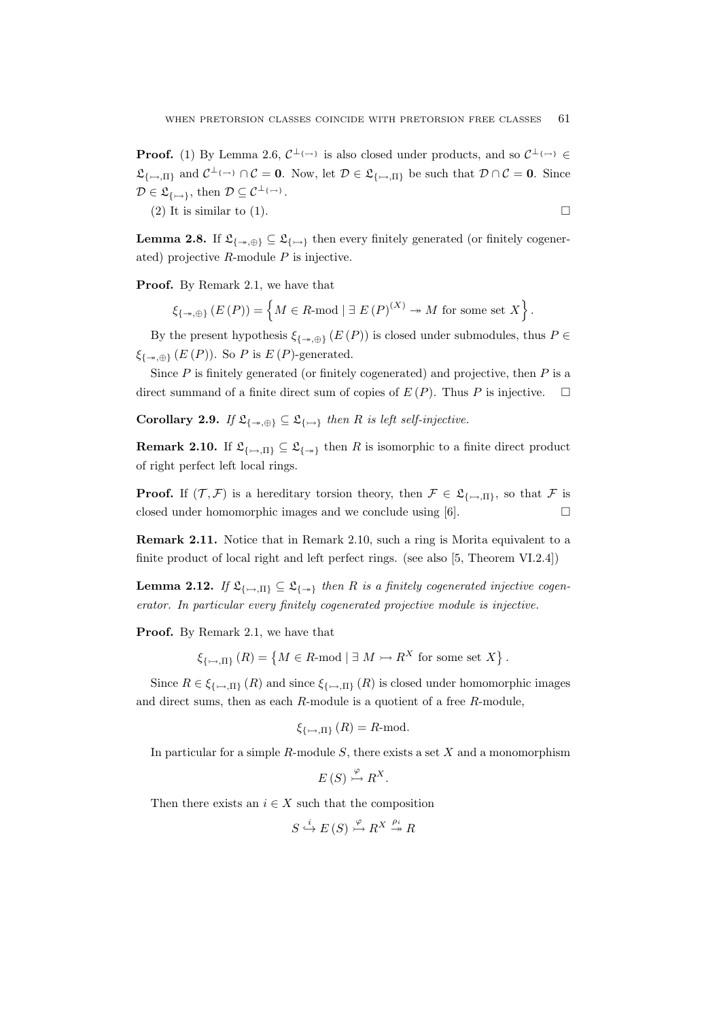**Proof.** (1) By Lemma 2.6,  $C^{\perp} \rightarrow \infty$  is also closed under products, and so  $C^{\perp} \rightarrow \infty$  $\mathfrak{L}_{\{\rightarrow,\Pi\}}$  and  $\mathcal{C}^{\perp_{\{\rightarrow\}}}\cap\mathcal{C}=0$ . Now, let  $\mathcal{D}\in\mathfrak{L}_{\{\rightarrow,\Pi\}}$  be such that  $\mathcal{D}\cap\mathcal{C}=0$ . Since  $\mathcal{D} \in \mathfrak{L}_{\{\rightarrow\}}$ , then  $\mathcal{D} \subseteq \mathcal{C}^{\perp_{\{\rightarrow\}}}$ .

(2) It is similar to (1).

**Lemma 2.8.** If  $\mathfrak{L}_{\{\rightarrow\}} \subseteq \mathfrak{L}_{\{\rightarrow\}}$  then every finitely generated (or finitely cogenerated) projective *R*-module *P* is injective.

**Proof.** By Remark 2.1, we have that

 $\mathcal{E}_{\{-*,\oplus\}}(E(P)) = \left\{ M \in R \text{-mod } | \exists E(P)^{(X)} \twoheadrightarrow M \text{ for some set } X \right\}.$ 

By the present hypothesis  $\xi_{\{\nrightarrow,\oplus\}}(E(P))$  is closed under submodules, thus  $P \in$ *ξ{,⊕}* (*E* (*P*)). So *P* is *E* (*P*)-generated.

Since *P* is finitely generated (or finitely cogenerated) and projective, then *P* is a direct summand of a finite direct sum of copies of  $E(P)$ . Thus P is injective.  $\square$ 

**Corollary 2.9.** *If*  $\mathfrak{L}_{\{\rightarrow,\oplus\}} \subseteq \mathfrak{L}_{\{\rightarrow\}}$  *then R is left self-injective.* 

**Remark 2.10.** If  $\mathfrak{L}_{\{\rightarrow\Pi\}} \subseteq \mathfrak{L}_{\{\rightarrow\}}$  then *R* is isomorphic to a finite direct product of right perfect left local rings.

**Proof.** If  $(\mathcal{T}, \mathcal{F})$  is a hereditary torsion theory, then  $\mathcal{F} \in \mathfrak{L}_{\{\rightarrow\Pi\}}$ , so that  $\mathcal{F}$  is closed under homomorphic images and we conclude using  $[6]$ .

**Remark 2.11.** Notice that in Remark 2.10, such a ring is Morita equivalent to a finite product of local right and left perfect rings. (see also [5, Theorem VI.2.4])

**Lemma 2.12.** *If*  $\mathfrak{L}_{\{\rightarrow,\Pi\}} \subseteq \mathfrak{L}_{\{\rightarrow\}}$  *then R is a finitely cogenerated injective cogenerator. In particular every finitely cogenerated projective module is injective.*

**Proof.** By Remark 2.1, we have that

$$
\xi_{\{\rightarrow\mathcal{A}\}}(R) = \left\{ M \in R\text{-mod } | \exists M \rightarrowtail R^X \text{ for some set } X \right\}.
$$

Since  $R \in \xi_{\{\rightarrow\Pi\}}(R)$  and since  $\xi_{\{\rightarrow\Pi\}}(R)$  is closed under homomorphic images and direct sums, then as each *R*-module is a quotient of a free *R*-module,

$$
\xi_{\{\rightarrow\gamma,\Pi\}}(R) = R \text{-mod.}
$$

In particular for a simple *R*-module *S*, there exists a set *X* and a monomorphism

 $E(S) \stackrel{\varphi}{\rightarrowtail} R^X.$ 

Then there exists an  $i \in X$  such that the composition

$$
S \stackrel{i}{\hookrightarrow} E(S) \stackrel{\varphi}{\rightarrowtail} R^X \stackrel{\rho_i}{\twoheadrightarrow} R
$$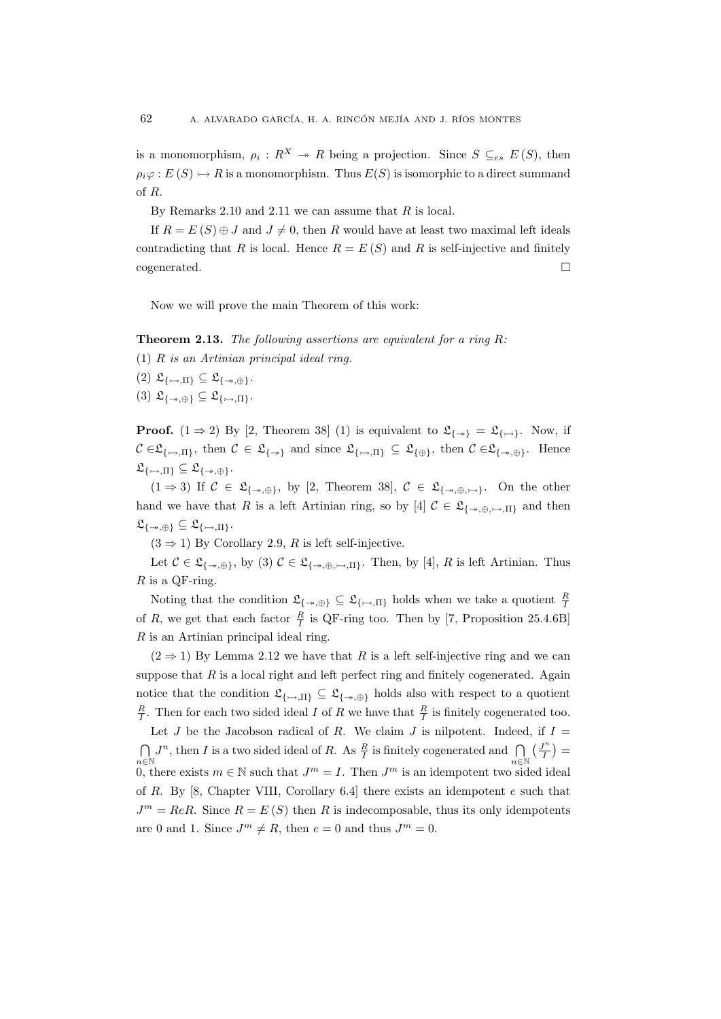is a monomorphism,  $\rho_i: R^X \to R$  being a projection. Since  $S \subseteq_{es} E(S)$ , then  $\rho_i \varphi : E(S) \rightarrowtail R$  is a monomorphism. Thus  $E(S)$  is isomorphic to a direct summand of *R*.

By Remarks 2.10 and 2.11 we can assume that *R* is local.

If  $R = E(S) \oplus J$  and  $J \neq 0$ , then R would have at least two maximal left ideals contradicting that *R* is local. Hence  $R = E(S)$  and *R* is self-injective and finitely  $cogenerated.$ 

Now we will prove the main Theorem of this work:

**Theorem 2.13.** *The following assertions are equivalent for a ring R:*

(1) *R is an Artinian principal ideal ring.*

- $(2)$   $\mathfrak{L}_{\{\rightarrow\} \Pi\} \subseteq \mathfrak{L}_{\{\rightarrow\} \oplus\}$ .
- $(3)$   $\mathfrak{L}_{\{\rightarrow\},\oplus\}} \subseteq \mathfrak{L}_{\{\rightarrow\},\Pi\}}.$

**Proof.**  $(1 \Rightarrow 2)$  By [2, Theorem 38] (1) is equivalent to  $\mathfrak{L}_{\{\rightarrow\}} = \mathfrak{L}_{\{\rightarrow\}}$ . Now, if  $C \in \mathfrak{L}_{\{\rightarrow\},\Pi\}}$ , then  $C \in \mathfrak{L}_{\{\rightarrow\}}$  and since  $\mathfrak{L}_{\{\rightarrow\},\Pi\}} \subseteq \mathfrak{L}_{\{\oplus\}}$ , then  $C \in \mathfrak{L}_{\{\rightarrow\},\oplus\}}$ . Hence  $\mathfrak{L}_{\{\rightarrow\gamma,\Pi\}} \subseteq \mathfrak{L}_{\{\rightarrow\gamma,\oplus\}}.$ 

(1 ⇒ 3) If  $C \in \mathfrak{L}_{\{\nrightarrow,\oplus\}}$ , by [2, Theorem 38],  $C \in \mathfrak{L}_{\{\nrightarrow,\oplus,\nrightarrow\}}$ . On the other hand we have that *R* is a left Artinian ring, so by [4]  $C \in \mathfrak{L}_{\{\rightarrow,\oplus,\rightarrow,\Pi\}}$  and then  $\mathfrak{L}_{\{\rightarrow\mathbb{A},\oplus\}}\subseteq\mathfrak{L}_{\{\rightarrow\mathbb{A},\Pi\}}.$ 

 $(3 \Rightarrow 1)$  By Corollary 2.9, *R* is left self-injective.

Let  $C \in \mathfrak{L}_{\{\nrightarrow,\oplus\}}$ , by (3)  $C \in \mathfrak{L}_{\{\nrightarrow,\oplus,\rightarrow,\Pi\}}$ . Then, by [4], R is left Artinian. Thus *R* is a QF-ring.

Noting that the condition  $\mathfrak{L}_{\{\to,\oplus\}} \subseteq \mathfrak{L}_{\{\to,\Pi\}}$  holds when we take a quotient  $\frac{R}{I}$ of *R*, we get that each factor  $\frac{R}{I}$  is QF-ring too. Then by [7, Proposition 25.4.6B] *R* is an Artinian principal ideal ring.

 $(2 \Rightarrow 1)$  By Lemma 2.12 we have that *R* is a left self-injective ring and we can suppose that  $R$  is a local right and left perfect ring and finitely cogenerated. Again notice that the condition  $\mathfrak{L}_{\{\rightarrow,\Pi\}} \subseteq \mathfrak{L}_{\{\rightarrow,\oplus\}}$  holds also with respect to a quotient  $\frac{R}{I}$ . Then for each two sided ideal *I* of *R* we have that  $\frac{R}{I}$  is finitely cogenerated too.

Let *J* be the Jacobson radical of *R*. We claim *J* is nilpotent. Indeed, if  $I =$  $\bigcap_{i}$ *J*<sup>*n*</sup>, then *I* is a two sided ideal of *R*. As  $\frac{R}{I}$  is finitely cogenerated and  $\bigcap_{i}$   $\left(\frac{J^n}{I}\right)$ *n*∈N
0, there exists  $m \in \mathbb{N}$  such that  $J^m = I$ . Then  $J^m$  is an idempotent two sided ideal  $\frac{I^n}{I}$ ) = of *R*. By [8, Chapter VIII, Corollary 6.4] there exists an idempotent *e* such that  $J^m = ReR$ . Since  $R = E(S)$  then *R* is indecomposable, thus its only idempotents are 0 and 1. Since  $J^m \neq R$ , then  $e = 0$  and thus  $J^m = 0$ .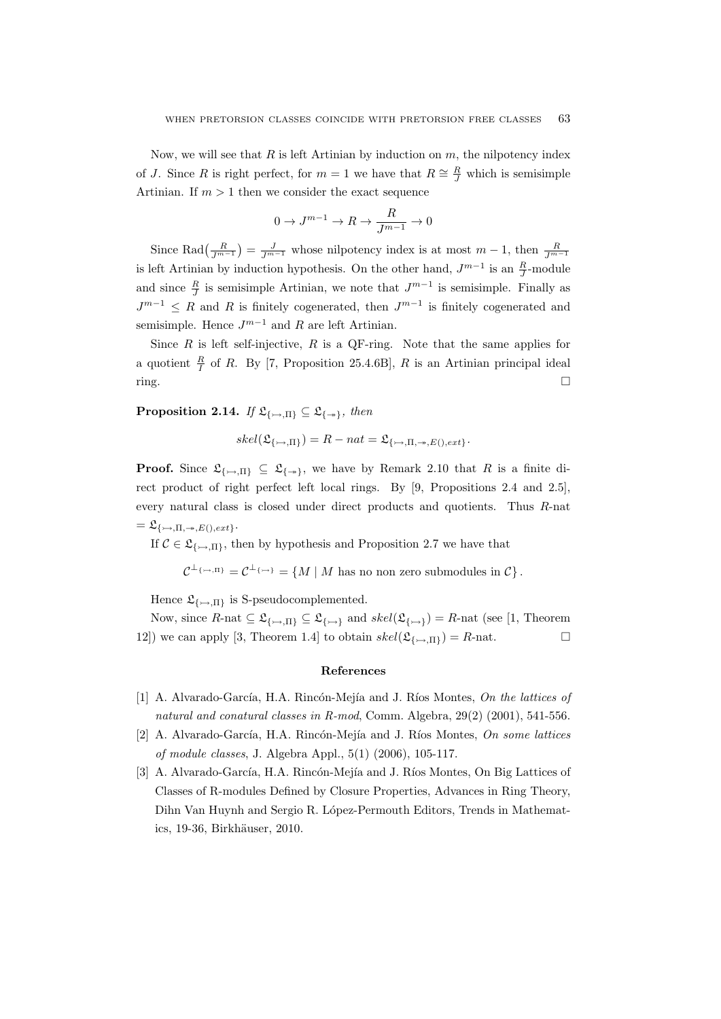Now, we will see that *R* is left Artinian by induction on *m*, the nilpotency index of *J*. Since *R* is right perfect, for  $m = 1$  we have that  $R \cong \frac{R}{J}$  which is semisimple Artinian. If  $m > 1$  then we consider the exact sequence

$$
0 \to J^{m-1} \to R \to \frac{R}{J^{m-1}} \to 0
$$

Since Rad $\left(\frac{R}{J^{m-1}}\right) = \frac{J}{J^{m-1}}$  whose nilpotency index is at most  $m-1$ , then  $\frac{R}{J^{m-1}}$ is left Artinian by induction hypothesis. On the other hand,  $J^{m-1}$  is an  $\frac{R}{J}$ -module and since  $\frac{R}{J}$  is semisimple Artinian, we note that  $J^{m-1}$  is semisimple. Finally as  $J^{m-1}$  *≤ R* and *R* is finitely cogenerated, then  $J^{m-1}$  is finitely cogenerated and semisimple. Hence  $J^{m-1}$  and  $R$  are left Artinian.

Since *R* is left self-injective, *R* is a QF-ring. Note that the same applies for a quotient  $\frac{R}{I}$  of *R*. By [7, Proposition 25.4.6B], *R* is an Artinian principal ideal  $\Box$ 

**Proposition 2.14.** *If*  $\mathfrak{L}_{\{\rightarrow 0, \Pi\}} \subseteq \mathfrak{L}_{\{\rightarrow\}}$ *, then* 

$$
skel(\mathfrak{L}_{\{\rightarrow\mathcal{A}\}}) = R - nat = \mathfrak{L}_{\{\rightarrow\mathcal{A}\}} \mathfrak{L}_{\{\rightarrow\mathcal{A}\}} E_{\{\rightarrow\mathcal{A}\}}.
$$

**Proof.** Since  $\mathfrak{L}_{\{\rightarrow,\Pi\}} \subseteq \mathfrak{L}_{\{\rightarrow\}}$ , we have by Remark 2.10 that *R* is a finite direct product of right perfect left local rings. By [9, Propositions 2.4 and 2.5], every natural class is closed under direct products and quotients. Thus *R*-nat  $=\mathfrak{L}_{\{\rightarrow\ldots\prod,\rightarrow\ldots\in\Gamma\}}$ 

If  $C \in \mathfrak{L}_{\{\rightarrow,\Pi\}}$ , then by hypothesis and Proposition 2.7 we have that

 $\mathcal{C}^{\perp_{\{\rightarrow\}}\mathfrak{n}} = \mathcal{C}^{\perp_{\{\rightarrow\}}}= \{M \mid M \text{ has no non zero submodules in } \mathcal{C}\}.$ 

Hence  $\mathfrak{L}_{\{\rightarrow,\Pi\}}$  is S-pseudocomplemented.

Now, since  $R$ -nat  $\subseteq \mathfrak{L}_{\{\rightarrow\}}$   $\subseteq \mathfrak{L}_{\{\rightarrow\}}$  and  $skel(\mathfrak{L}_{\{\rightarrow\}}) = R$ -nat (see [1, Theorem 12]) we can apply [3, Theorem 1.4] to obtain  $skel(\mathfrak{L}_{\{\rightarrow,\Pi\}}) = R$ -nat.

### **References**

- [1] A. Alvarado-Garc´ıa, H.A. Rinc´on-Mej´ıa and J. R´ıos Montes, *On the lattices of natural and conatural classes in R-mod*, Comm. Algebra, 29(2) (2001), 541-556.
- [2] A. Alvarado-García, H.A. Rincón-Mejía and J. Ríos Montes, *On some lattices of module classes*, J. Algebra Appl., 5(1) (2006), 105-117.
- [3] A. Alvarado-García, H.A. Rincón-Mejía and J. Ríos Montes, On Big Lattices of Classes of R-modules Defined by Closure Properties, Advances in Ring Theory, Dihn Van Huynh and Sergio R. L´opez-Permouth Editors, Trends in Mathematics, 19-36, Birkhäuser, 2010.